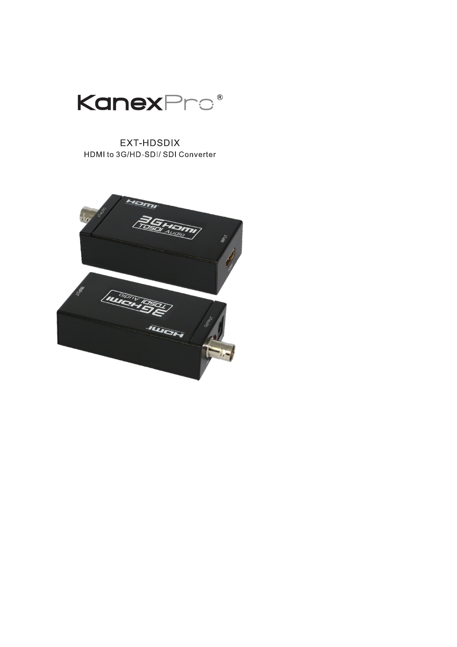

## EXT-HDSDIX HDMI to 3G/HD-SDI/ SDI Converter

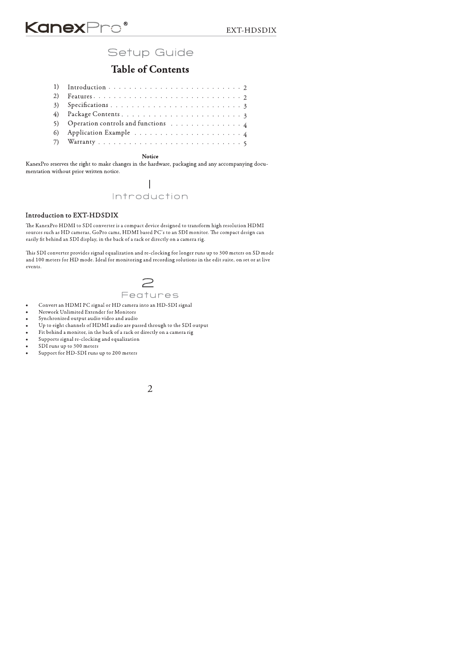## Setup Guide

## **Table of Contents**

- 1)
- $2)$  $3)$
- $4)$
- 5) Operation controls and functions  $\ldots \ldots \ldots \ldots$
- $6)$
- $7)$

### Notice

KanexPro reserves the right to make changes in the hardware, packaging and any accompanying documentation without prior written notice.

### $\mathbf{I}$ Introduction

### Introduction to EXT-HDSDIX

The KanexPro HDMI to SDI converter is a compact device designed to transform high resolution HDMI sources such as HD cameras, GoPro cams, HDMI based PC's to an SDI monitor. The compact design can easily fit behind an SDI display, in the back of a rack or directly on a camera rig.

This SDI converter provides signal equalization and re-clocking for longer runs up to 300 meters on SD mode and 100 meters for HD mode. Ideal for monitoring and recording solutions in the edit suite, on set or at live events.



- Convert an HDMI PC signal or HD camera into an HD-SDI signal  $\bullet$
- Network Unlimited Extender for Monitors  $\bullet$
- Synchronized output audio video and audio
- Up to eight channels of HDMI audio are passed through to the SDI output l.
- Fit behind a monitor, in the back of a rack or directly on a camera rig  $\bullet$
- Supports signal re-clocking and equalization  $\bullet$
- SDI runs up to 300 meters  $\bullet$
- Support for HD-SDI runs up to 200 meters

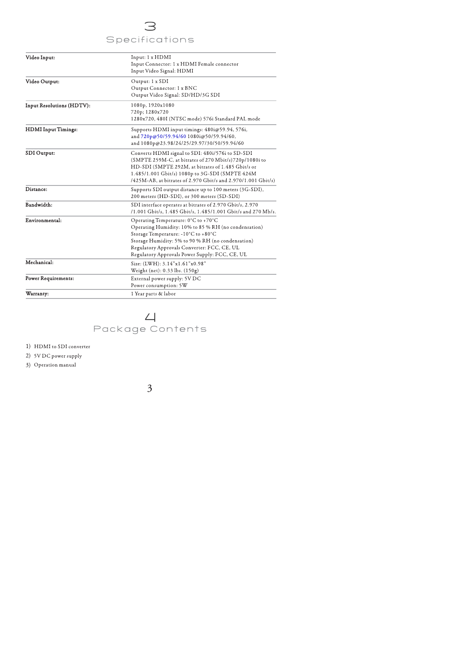## $\overline{\mathsf{C}}$ Specifications

| Video Input:                                      | Input: 1 x HDMI<br>Input Connector: 1 x HDMI Female connector<br>Input Video Signal: HDMI                                                                                                                                                                                                |
|---------------------------------------------------|------------------------------------------------------------------------------------------------------------------------------------------------------------------------------------------------------------------------------------------------------------------------------------------|
| Video Output:                                     | Output: 1 x SDI<br>Output Connector: 1 x BNC<br>Output Video Signal: SD/HD/3G SDI                                                                                                                                                                                                        |
| <b>Input Resolutions (HDTV):</b>                  | 1080p, 1920x1080<br>720p; 1280x720<br>1280x720, 480I (NTSC mode) 576i Standard PAL mode                                                                                                                                                                                                  |
| <b>HDMI</b> Input Timings:                        | Supports HDMI input timings: 480i@59.94, 576i,<br>and 720p@50/59.94/60 1080i@50/59.94/60,<br>and 1080p@23.98/24/25/29.97/30/50/59.94/60                                                                                                                                                  |
| SDI Output:                                       | Converts HDMI signal to SDI: 480i/576i to SD-SDI<br>(SMPTE 259M-C, at bitrates of 270 Mbit/s)720p/1080i to<br>HD-SDI (SMPTE 292M, at bitrates of 1.485 Gbit/s or<br>1.485/1.001 Gbit/s) 1080p to 3G-SDI (SMPTE 424M<br>/425M-AB, at bitrates of 2.970 Gbit/s and 2.970/1.001 Gbit/s)     |
| Distance:                                         | Supports SDI output distance up to 100 meters (3G-SDI),<br>200 meters (HD-SDI), or 300 meters (SD-SDI)                                                                                                                                                                                   |
| Bandwidth:                                        | SDI interface operates at bitrates of 2.970 Gbit/s, 2.970<br>/1.001 Gbit/s, 1.485 Gbit/s, 1.485/1.001 Gbit/s and 270 Mb/s.                                                                                                                                                               |
| Environmental:                                    | Operating Temperature: 0°C to +70°C<br>Operating Humidity: 10% to 85 % RH (no condensation)<br>Storage Temperature: -10°C to +80°C<br>Storage Humidity: 5% to 90 % RH (no condensation)<br>Regulatory Approvals Converter: FCC, CE, UL<br>Regulatory Approvals Power Supply: FCC, CE, UL |
| Mechanical:                                       | Size: (LWH): 3.14"x1.61"x0.98"<br>Weight (net): 0.33 lbs. (150g)                                                                                                                                                                                                                         |
| Power Requirements:                               | External power supply: 5V DC<br>Power consumption: 5W                                                                                                                                                                                                                                    |
| Warranty:                                         | 1 Year parts & labor                                                                                                                                                                                                                                                                     |
| 1) HDMI to SDI converter<br>2) 5V DC power supply | Package Contents                                                                                                                                                                                                                                                                         |
| 3) Operation manual                               |                                                                                                                                                                                                                                                                                          |
|                                                   |                                                                                                                                                                                                                                                                                          |
|                                                   | 3                                                                                                                                                                                                                                                                                        |



- HDMI to SDI conver<mark>i</mark><br>5V DC power supply<br>Operation manual rter -
- 5V DC power supply
- Operation m: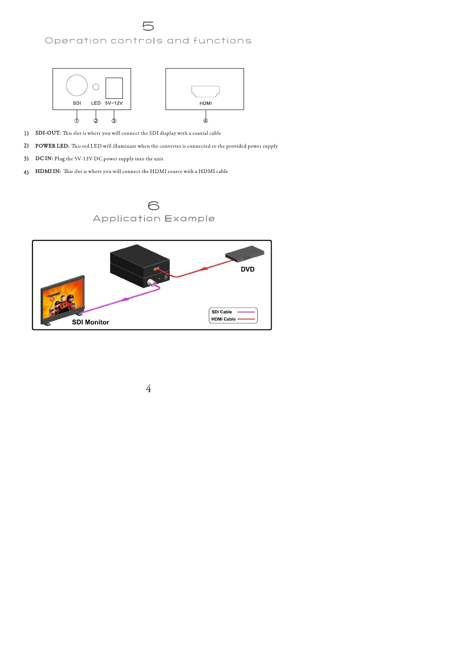## Operation controls and functions



- 1) SDI-OUT: This slot is where you will connect the SDI display with a coaxial cable
- $2)$ POWER LED: This red LED will illuminate when the converter is connected to the provided power supply
- DC IN: Plug the 5V-12V DC power supply into the unit  $3)$
- HDMI IN: This slot is where you will connect the HDMI source with a HDMI cable  $4)$

# 6<br>Application Example



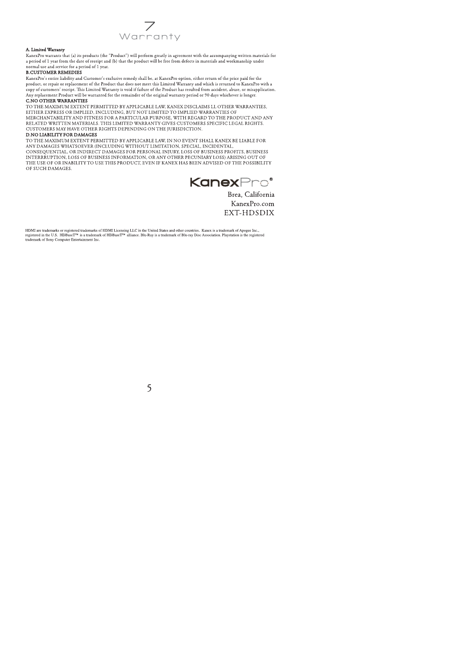

### A. Limited Warranty

FrancePro warrants that (a) its products (the "Product") will perform greatly in agreement with the accompanying written materials for a period of 1 year from the date of receipt and (b) that the product will be free from

#### **B.CUSTOMER REMEDIES**

KanexPro's entire liability and Customer's exclusive remedy shall be, at KanexPro option, either return of the price paid for the Nance, TO SCHINE and USE of the Product that does not meet this Limited Warranty and which is returned to KanexPro with a<br>copy of customers' receipt. This Limited Warranty is void if failure of the Product has resulted fro

### C.NO OTHER WARRANTIES

TO THE MAXIMUM EXTENT PERMITTED BY APPLICABLE LAW, KANEX DISCLAIMS LL OTHER WARRANTIES, EITHER EXPRESS OR IMPLIED, INCLUDING, BUT NOT LIMITED TO IMPLIED WARRANTIES OF ETTILE EXTRESS ON IMPLIED, INCLUDING, BOTTING IN THE THE REGARD TO THE PRODUCT AND ANY RELATED WRITTEN MATERIALS. THIS LIMITED WARRANTY GIVES CUSTOMERS SPECIFIC LEGAL RIGHTS. CUSTOMERS MAY HAVE OTHER RIGHTS DEPENDING ON THE JURISDICTION.

### D NO LIARILITY FOR DAMAGES

TO THE MAXIMUM EXTENT PERMITTED BY APPLICABLE LAW, IN NO EVENT SHALL KANEX BE LIABLE FOR TO THE MARKETS WHATSOEVER (INCLUDING WITHOUT LIMITATION, SPECIAL, INCIDENTAL, CONSEQUENTIAL, OR INDIRECT DAMAGES FOR PERSONAL INJURY, LOSS OF BUSINESS PROFITS, BUSINESS INTERRRUPTION, LOSS OF BUSINESS INFORMATION, OR ANY OTHER PECUNIARY LOSS) ARISING OUT OF THE USE OF OR INABILITY TO USE THIS PRODUCT, EVEN IF KANEX HAS BEEN ADVISED OF THE POSSIBILITY OF SUCH DAMAGES.

**KanexPro**<sup>®</sup>

Brea, California KanexPro.com EXT-HDSDIX

HDMI are trademarks or registered trademarks of HDMI Licensing LLC in the United States and other countries. Kanex is a trademark of Apogee Inc., registered in the U.S. HDBaseT<sup>78</sup> is a trademark of HDBaseT<sup>79</sup> alliance.